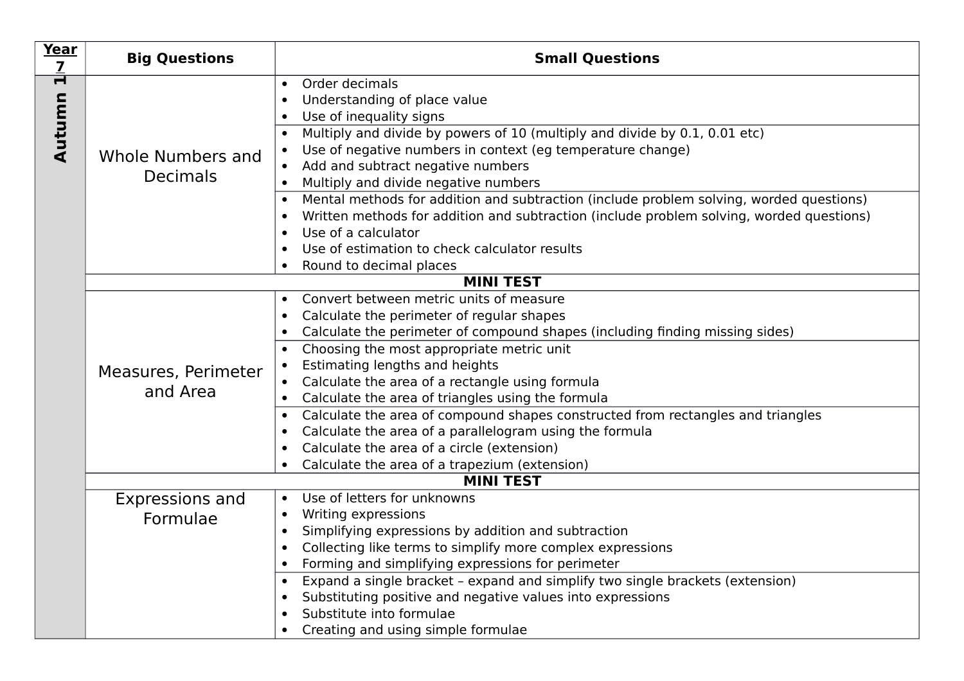| Year<br>$\overline{\mathbf{Z}}$     | <b>Big Questions</b>                        | <b>Small Questions</b>                                                                                                                                                                                                                                                                                                                                                                                                                                                                                                                                                                                                                                                                                                                                  |  |
|-------------------------------------|---------------------------------------------|---------------------------------------------------------------------------------------------------------------------------------------------------------------------------------------------------------------------------------------------------------------------------------------------------------------------------------------------------------------------------------------------------------------------------------------------------------------------------------------------------------------------------------------------------------------------------------------------------------------------------------------------------------------------------------------------------------------------------------------------------------|--|
| $\overline{\blacksquare}$<br>Autumn | Whole Numbers and<br><b>Decimals</b>        | Order decimals<br>$\bullet$<br>Understanding of place value<br>$\bullet$<br>Use of inequality signs<br>$\bullet$                                                                                                                                                                                                                                                                                                                                                                                                                                                                                                                                                                                                                                        |  |
|                                     |                                             | Multiply and divide by powers of 10 (multiply and divide by 0.1, 0.01 etc)<br>$\bullet$<br>Use of negative numbers in context (eg temperature change)<br>$\bullet$<br>Add and subtract negative numbers<br>$\bullet$<br>Multiply and divide negative numbers<br>$\bullet$                                                                                                                                                                                                                                                                                                                                                                                                                                                                               |  |
|                                     |                                             | Mental methods for addition and subtraction (include problem solving, worded questions)<br>$\bullet$<br>Written methods for addition and subtraction (include problem solving, worded questions)<br>$\bullet$<br>Use of a calculator<br>$\bullet$<br>Use of estimation to check calculator results<br>$\bullet$                                                                                                                                                                                                                                                                                                                                                                                                                                         |  |
|                                     | Round to decimal places<br><b>MINI TEST</b> |                                                                                                                                                                                                                                                                                                                                                                                                                                                                                                                                                                                                                                                                                                                                                         |  |
|                                     | Measures, Perimeter<br>and Area             | Convert between metric units of measure<br>$\bullet$<br>Calculate the perimeter of regular shapes<br>$\bullet$<br>Calculate the perimeter of compound shapes (including finding missing sides)<br>$\bullet$<br>Choosing the most appropriate metric unit<br>$\bullet$<br>Estimating lengths and heights<br>$\bullet$<br>Calculate the area of a rectangle using formula<br>$\bullet$<br>Calculate the area of triangles using the formula<br>$\bullet$<br>Calculate the area of compound shapes constructed from rectangles and triangles<br>$\bullet$<br>Calculate the area of a parallelogram using the formula<br>$\bullet$<br>Calculate the area of a circle (extension)<br>$\bullet$<br>Calculate the area of a trapezium (extension)<br>$\bullet$ |  |
|                                     | <b>MINI TEST</b>                            |                                                                                                                                                                                                                                                                                                                                                                                                                                                                                                                                                                                                                                                                                                                                                         |  |
|                                     | Expressions and<br>Formulae                 | Use of letters for unknowns<br>$\bullet$<br>Writing expressions<br>$\bullet$<br>Simplifying expressions by addition and subtraction<br>$\bullet$<br>Collecting like terms to simplify more complex expressions<br>$\bullet$<br>Forming and simplifying expressions for perimeter<br>$\bullet$                                                                                                                                                                                                                                                                                                                                                                                                                                                           |  |
|                                     |                                             | Expand a single bracket - expand and simplify two single brackets (extension)<br>$\bullet$<br>Substituting positive and negative values into expressions<br>$\bullet$<br>Substitute into formulae<br>$\bullet$<br>Creating and using simple formulae<br>$\bullet$                                                                                                                                                                                                                                                                                                                                                                                                                                                                                       |  |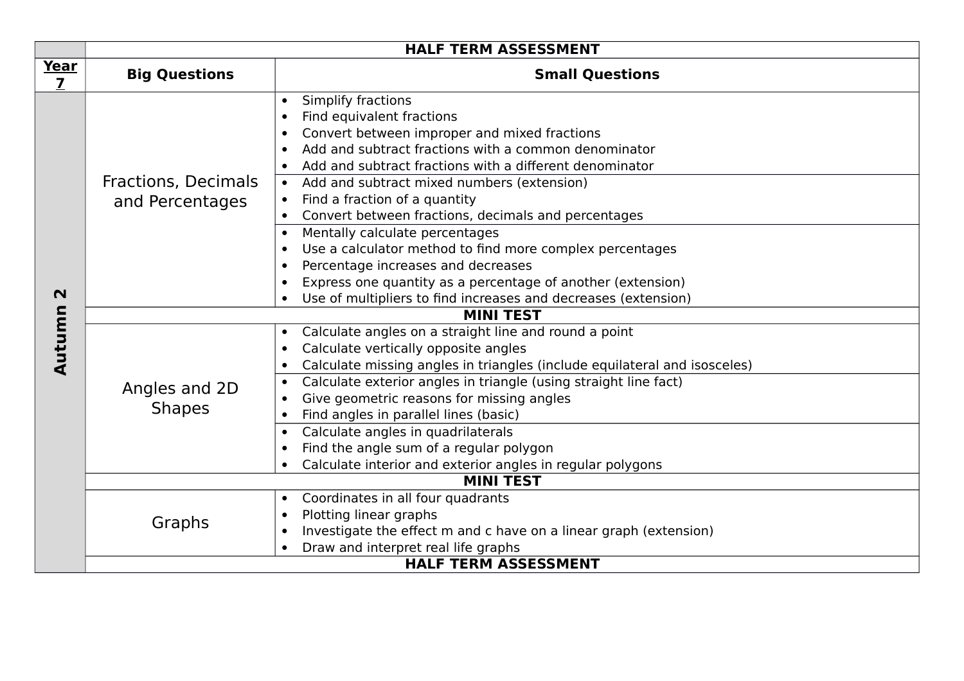|             | <b>HALF TERM ASSESSMENT</b>            |                                                                                                                                                                                                                                                                                                                                                                                                                                                                                                                                                                                                                                                                                                                                       |  |
|-------------|----------------------------------------|---------------------------------------------------------------------------------------------------------------------------------------------------------------------------------------------------------------------------------------------------------------------------------------------------------------------------------------------------------------------------------------------------------------------------------------------------------------------------------------------------------------------------------------------------------------------------------------------------------------------------------------------------------------------------------------------------------------------------------------|--|
| Year<br>7   | <b>Big Questions</b>                   | <b>Small Questions</b>                                                                                                                                                                                                                                                                                                                                                                                                                                                                                                                                                                                                                                                                                                                |  |
| $\mathbf N$ | Fractions, Decimals<br>and Percentages | Simplify fractions<br>$\bullet$<br>Find equivalent fractions<br>$\bullet$<br>Convert between improper and mixed fractions<br>Add and subtract fractions with a common denominator<br>Add and subtract fractions with a different denominator<br>$\bullet$<br>Add and subtract mixed numbers (extension)<br>Find a fraction of a quantity<br>Convert between fractions, decimals and percentages<br>$\bullet$<br>Mentally calculate percentages<br>$\bullet$<br>Use a calculator method to find more complex percentages<br>$\bullet$<br>Percentage increases and decreases<br>$\bullet$<br>Express one quantity as a percentage of another (extension)<br>$\bullet$<br>Use of multipliers to find increases and decreases (extension) |  |
|             | <b>MINI TEST</b>                       |                                                                                                                                                                                                                                                                                                                                                                                                                                                                                                                                                                                                                                                                                                                                       |  |
| Autumn      | Angles and 2D<br><b>Shapes</b>         | Calculate angles on a straight line and round a point<br>$\bullet$<br>Calculate vertically opposite angles<br>$\bullet$<br>Calculate missing angles in triangles (include equilateral and isosceles)<br>$\bullet$<br>Calculate exterior angles in triangle (using straight line fact)<br>$\bullet$<br>Give geometric reasons for missing angles<br>Find angles in parallel lines (basic)<br>$\bullet$<br>Calculate angles in quadrilaterals<br>$\bullet$<br>Find the angle sum of a regular polygon<br>$\bullet$<br>Calculate interior and exterior angles in regular polygons                                                                                                                                                        |  |
|             | <b>MINI TEST</b>                       |                                                                                                                                                                                                                                                                                                                                                                                                                                                                                                                                                                                                                                                                                                                                       |  |
|             | Graphs                                 | Coordinates in all four quadrants<br>$\bullet$<br>Plotting linear graphs<br>$\bullet$<br>Investigate the effect m and c have on a linear graph (extension)<br>$\bullet$<br>Draw and interpret real life graphs<br><b>HALF TERM ASSESSMENT</b>                                                                                                                                                                                                                                                                                                                                                                                                                                                                                         |  |
|             |                                        |                                                                                                                                                                                                                                                                                                                                                                                                                                                                                                                                                                                                                                                                                                                                       |  |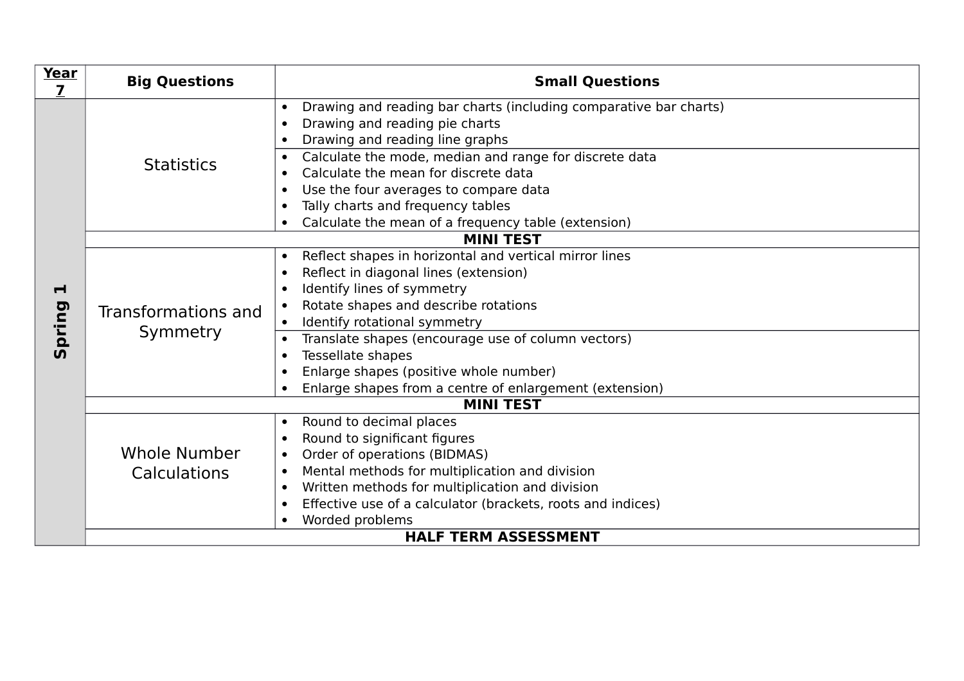| Year<br>7   | <b>Big Questions</b>                | <b>Small Questions</b>                                                                                                                                                                                                                                                                                                                                                                                                       |  |
|-------------|-------------------------------------|------------------------------------------------------------------------------------------------------------------------------------------------------------------------------------------------------------------------------------------------------------------------------------------------------------------------------------------------------------------------------------------------------------------------------|--|
|             | <b>Statistics</b>                   | Drawing and reading bar charts (including comparative bar charts)<br>$\bullet$<br>Drawing and reading pie charts<br>Drawing and reading line graphs                                                                                                                                                                                                                                                                          |  |
|             |                                     | Calculate the mode, median and range for discrete data<br>Calculate the mean for discrete data<br>Use the four averages to compare data<br>Tally charts and frequency tables<br>Calculate the mean of a frequency table (extension)                                                                                                                                                                                          |  |
|             | <b>MINI TEST</b>                    |                                                                                                                                                                                                                                                                                                                                                                                                                              |  |
| Н<br>Spring | Transformations and<br>Symmetry     | Reflect shapes in horizontal and vertical mirror lines<br>$\bullet$<br>Reflect in diagonal lines (extension)<br>$\bullet$<br>Identify lines of symmetry<br>Rotate shapes and describe rotations<br>Identify rotational symmetry<br>$\bullet$<br>Translate shapes (encourage use of column vectors)<br>Tessellate shapes<br>Enlarge shapes (positive whole number)<br>Enlarge shapes from a centre of enlargement (extension) |  |
|             | <b>MINI TEST</b>                    |                                                                                                                                                                                                                                                                                                                                                                                                                              |  |
|             | Whole Number<br><b>Calculations</b> | Round to decimal places<br>$\bullet$<br>Round to significant figures<br>$\bullet$<br>Order of operations (BIDMAS)<br>$\bullet$<br>Mental methods for multiplication and division<br>$\bullet$<br>Written methods for multiplication and division<br>$\bullet$<br>Effective use of a calculator (brackets, roots and indices)<br>$\bullet$<br>Worded problems                                                                 |  |
|             | <b>HALF TERM ASSESSMENT</b>         |                                                                                                                                                                                                                                                                                                                                                                                                                              |  |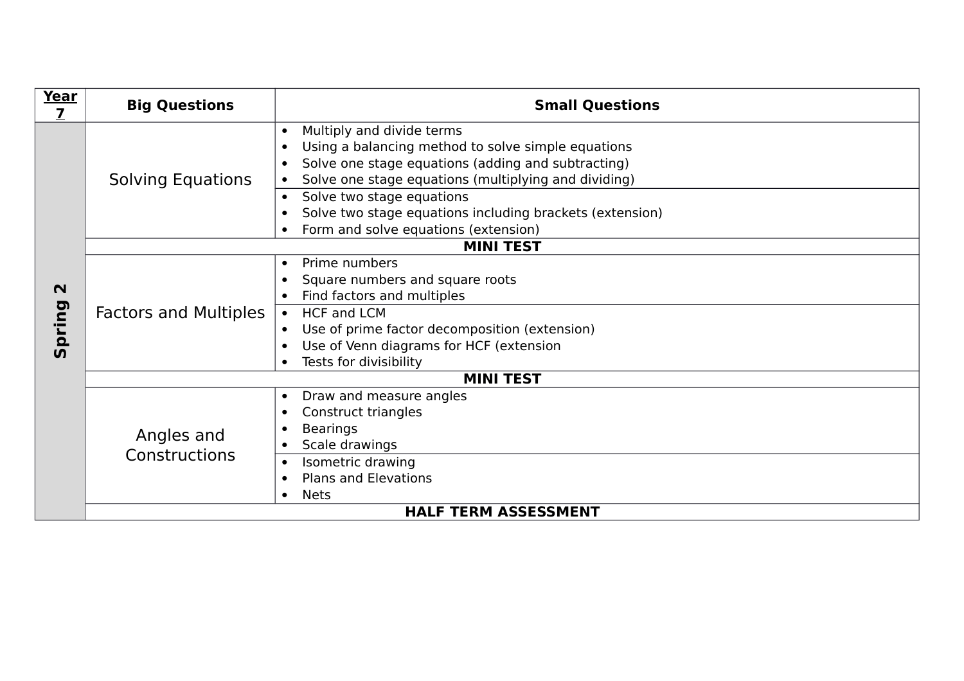| Year<br>$\overline{\mathbf{z}}$ | <b>Big Questions</b>         | <b>Small Questions</b>                                                                                                                                                                                                                  |  |
|---------------------------------|------------------------------|-----------------------------------------------------------------------------------------------------------------------------------------------------------------------------------------------------------------------------------------|--|
|                                 | <b>Solving Equations</b>     | Multiply and divide terms<br>$\bullet$<br>Using a balancing method to solve simple equations<br>Solve one stage equations (adding and subtracting)<br>Solve one stage equations (multiplying and dividing)                              |  |
|                                 |                              | Solve two stage equations<br>Solve two stage equations including brackets (extension)<br>Form and solve equations (extension)                                                                                                           |  |
|                                 | <b>MINI TEST</b>             |                                                                                                                                                                                                                                         |  |
| $\mathbf N$<br>Spring           | <b>Factors and Multiples</b> | Prime numbers<br>$\bullet$<br>Square numbers and square roots<br>Find factors and multiples<br><b>HCF and LCM</b><br>Use of prime factor decomposition (extension)<br>Use of Venn diagrams for HCF (extension<br>Tests for divisibility |  |
|                                 | <b>MINI TEST</b>             |                                                                                                                                                                                                                                         |  |
|                                 | Angles and<br>Constructions  | Draw and measure angles<br>$\bullet$<br>Construct triangles<br><b>Bearings</b><br>Scale drawings<br>Isometric drawing<br><b>Plans and Elevations</b><br>$\bullet$                                                                       |  |
|                                 |                              | <b>Nets</b>                                                                                                                                                                                                                             |  |
| <b>HALF TERM ASSESSMENT</b>     |                              |                                                                                                                                                                                                                                         |  |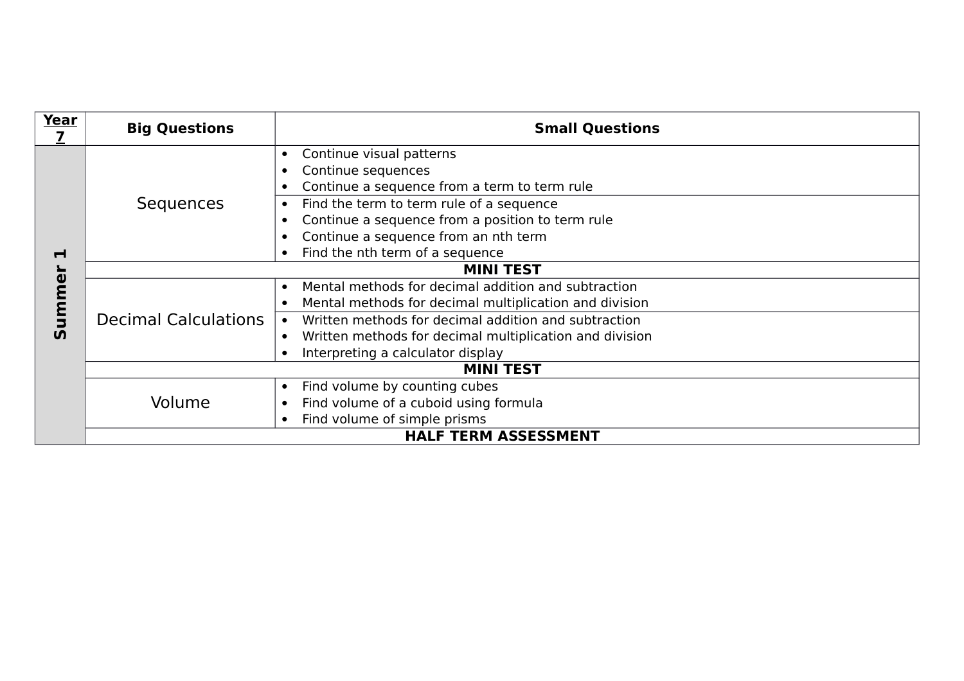| Year           | <b>Big Questions</b>        | <b>Small Questions</b>                                  |  |
|----------------|-----------------------------|---------------------------------------------------------|--|
|                | Sequences                   | Continue visual patterns                                |  |
|                |                             | Continue sequences                                      |  |
|                |                             | Continue a sequence from a term to term rule            |  |
|                |                             | Find the term to term rule of a sequence                |  |
|                |                             | Continue a sequence from a position to term rule        |  |
|                |                             | Continue a sequence from an nth term                    |  |
| $\blacksquare$ |                             | Find the nth term of a sequence                         |  |
|                | <b>MINI TEST</b>            |                                                         |  |
| ummer          | <b>Decimal Calculations</b> | Mental methods for decimal addition and subtraction     |  |
|                |                             | Mental methods for decimal multiplication and division  |  |
|                |                             | Written methods for decimal addition and subtraction    |  |
| <u>ທ</u>       |                             | Written methods for decimal multiplication and division |  |
|                |                             | Interpreting a calculator display                       |  |
|                | <b>MINI TEST</b>            |                                                         |  |
|                | Volume                      | Find volume by counting cubes<br>$\bullet$              |  |
|                |                             | Find volume of a cuboid using formula                   |  |
|                |                             | Find volume of simple prisms                            |  |
|                | <b>HALF TERM ASSESSMENT</b> |                                                         |  |